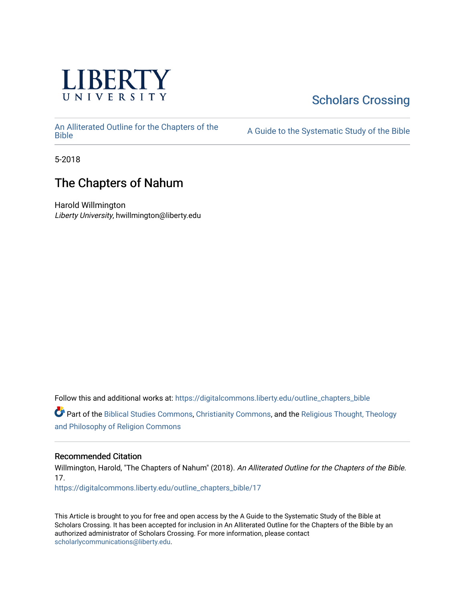

## [Scholars Crossing](https://digitalcommons.liberty.edu/)

[An Alliterated Outline for the Chapters of the](https://digitalcommons.liberty.edu/outline_chapters_bible) 

A Guide to the Systematic Study of the [Bible](https://digitalcommons.liberty.edu/outline_chapters_bible)

5-2018

## The Chapters of Nahum

Harold Willmington Liberty University, hwillmington@liberty.edu

Follow this and additional works at: [https://digitalcommons.liberty.edu/outline\\_chapters\\_bible](https://digitalcommons.liberty.edu/outline_chapters_bible?utm_source=digitalcommons.liberty.edu%2Foutline_chapters_bible%2F17&utm_medium=PDF&utm_campaign=PDFCoverPages)

Part of the [Biblical Studies Commons,](http://network.bepress.com/hgg/discipline/539?utm_source=digitalcommons.liberty.edu%2Foutline_chapters_bible%2F17&utm_medium=PDF&utm_campaign=PDFCoverPages) [Christianity Commons,](http://network.bepress.com/hgg/discipline/1181?utm_source=digitalcommons.liberty.edu%2Foutline_chapters_bible%2F17&utm_medium=PDF&utm_campaign=PDFCoverPages) and the [Religious Thought, Theology](http://network.bepress.com/hgg/discipline/544?utm_source=digitalcommons.liberty.edu%2Foutline_chapters_bible%2F17&utm_medium=PDF&utm_campaign=PDFCoverPages)  [and Philosophy of Religion Commons](http://network.bepress.com/hgg/discipline/544?utm_source=digitalcommons.liberty.edu%2Foutline_chapters_bible%2F17&utm_medium=PDF&utm_campaign=PDFCoverPages)

### Recommended Citation

Willmington, Harold, "The Chapters of Nahum" (2018). An Alliterated Outline for the Chapters of the Bible. 17. [https://digitalcommons.liberty.edu/outline\\_chapters\\_bible/17](https://digitalcommons.liberty.edu/outline_chapters_bible/17?utm_source=digitalcommons.liberty.edu%2Foutline_chapters_bible%2F17&utm_medium=PDF&utm_campaign=PDFCoverPages) 

This Article is brought to you for free and open access by the A Guide to the Systematic Study of the Bible at Scholars Crossing. It has been accepted for inclusion in An Alliterated Outline for the Chapters of the Bible by an authorized administrator of Scholars Crossing. For more information, please contact [scholarlycommunications@liberty.edu.](mailto:scholarlycommunications@liberty.edu)